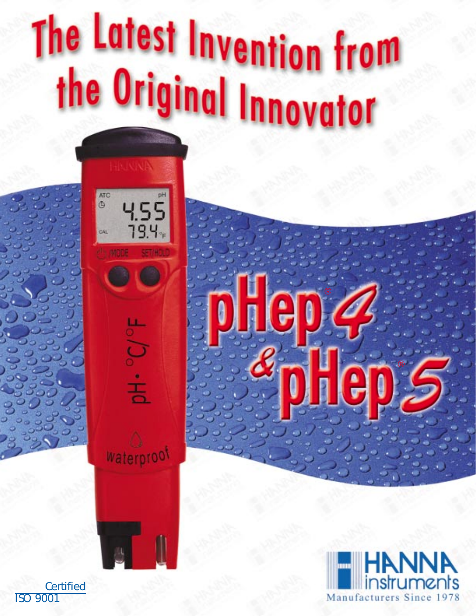# The Latest Invention from the Original Innovator







**Certified** ISO 9001